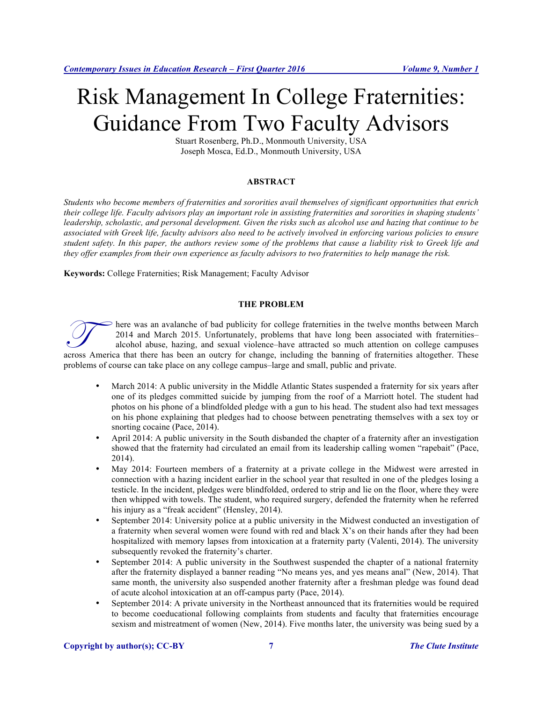# Risk Management In College Fraternities: Guidance From Two Faculty Advisors

Stuart Rosenberg, Ph.D., Monmouth University, USA Joseph Mosca, Ed.D., Monmouth University, USA

# **ABSTRACT**

*Students who become members of fraternities and sororities avail themselves of significant opportunities that enrich their college life. Faculty advisors play an important role in assisting fraternities and sororities in shaping students' leadership, scholastic, and personal development. Given the risks such as alcohol use and hazing that continue to be associated with Greek life, faculty advisors also need to be actively involved in enforcing various policies to ensure student safety. In this paper, the authors review some of the problems that cause a liability risk to Greek life and they offer examples from their own experience as faculty advisors to two fraternities to help manage the risk.* 

**Keywords:** College Fraternities; Risk Management; Faculty Advisor

#### **THE PROBLEM**

here was an avalanche of bad publicity for college fraternities in the twelve months between March 2014 and March 2015. Unfortunately, problems that have long been associated with fraternities– alcohol abuse, hazing, and sexual violence–have attracted so much attention on college campuses acches America that there has been an outcry for college fraternities in the twelve months between March 2014 and March 2015. Unfortunately, problems that have long been associated with fraternities-<br>alcohol abuse, hazing, problems of course can take place on any college campus–large and small, public and private.

- March 2014: A public university in the Middle Atlantic States suspended a fraternity for six years after one of its pledges committed suicide by jumping from the roof of a Marriott hotel. The student had photos on his phone of a blindfolded pledge with a gun to his head. The student also had text messages on his phone explaining that pledges had to choose between penetrating themselves with a sex toy or snorting cocaine (Pace, 2014).
- April 2014: A public university in the South disbanded the chapter of a fraternity after an investigation showed that the fraternity had circulated an email from its leadership calling women "rapebait" (Pace, 2014).
- May 2014: Fourteen members of a fraternity at a private college in the Midwest were arrested in connection with a hazing incident earlier in the school year that resulted in one of the pledges losing a testicle. In the incident, pledges were blindfolded, ordered to strip and lie on the floor, where they were then whipped with towels. The student, who required surgery, defended the fraternity when he referred his injury as a "freak accident" (Hensley, 2014).
- September 2014: University police at a public university in the Midwest conducted an investigation of a fraternity when several women were found with red and black X's on their hands after they had been hospitalized with memory lapses from intoxication at a fraternity party (Valenti, 2014). The university subsequently revoked the fraternity's charter.
- September 2014: A public university in the Southwest suspended the chapter of a national fraternity after the fraternity displayed a banner reading "No means yes, and yes means anal" (New, 2014). That same month, the university also suspended another fraternity after a freshman pledge was found dead of acute alcohol intoxication at an off-campus party (Pace, 2014).
- September 2014: A private university in the Northeast announced that its fraternities would be required to become coeducational following complaints from students and faculty that fraternities encourage sexism and mistreatment of women (New, 2014). Five months later, the university was being sued by a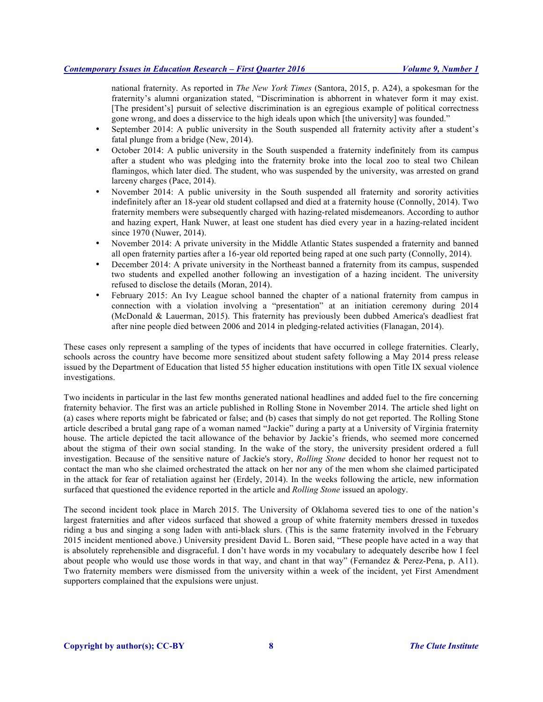national fraternity. As reported in *The New York Times* (Santora, 2015, p. A24), a spokesman for the fraternity's alumni organization stated, "Discrimination is abhorrent in whatever form it may exist. [The president's] pursuit of selective discrimination is an egregious example of political correctness gone wrong, and does a disservice to the high ideals upon which [the university] was founded."

- September 2014: A public university in the South suspended all fraternity activity after a student's fatal plunge from a bridge (New, 2014).
- October 2014: A public university in the South suspended a fraternity indefinitely from its campus after a student who was pledging into the fraternity broke into the local zoo to steal two Chilean flamingos, which later died. The student, who was suspended by the university, was arrested on grand larceny charges (Pace, 2014).
- November 2014: A public university in the South suspended all fraternity and sorority activities indefinitely after an 18-year old student collapsed and died at a fraternity house (Connolly, 2014). Two fraternity members were subsequently charged with hazing-related misdemeanors. According to author and hazing expert, Hank Nuwer, at least one student has died every year in a hazing-related incident since 1970 (Nuwer, 2014).
- November 2014: A private university in the Middle Atlantic States suspended a fraternity and banned all open fraternity parties after a 16-year old reported being raped at one such party (Connolly, 2014).
- December 2014: A private university in the Northeast banned a fraternity from its campus, suspended two students and expelled another following an investigation of a hazing incident. The university refused to disclose the details (Moran, 2014).
- February 2015: An Ivy League school banned the chapter of a national fraternity from campus in connection with a violation involving a "presentation" at an initiation ceremony during 2014 (McDonald & Lauerman, 2015). This fraternity has previously been dubbed America's deadliest frat after nine people died between 2006 and 2014 in pledging-related activities (Flanagan, 2014).

These cases only represent a sampling of the types of incidents that have occurred in college fraternities. Clearly, schools across the country have become more sensitized about student safety following a May 2014 press release issued by the Department of Education that listed 55 higher education institutions with open Title IX sexual violence investigations.

Two incidents in particular in the last few months generated national headlines and added fuel to the fire concerning fraternity behavior. The first was an article published in Rolling Stone in November 2014. The article shed light on (a) cases where reports might be fabricated or false; and (b) cases that simply do not get reported. The Rolling Stone article described a brutal gang rape of a woman named "Jackie" during a party at a University of Virginia fraternity house. The article depicted the tacit allowance of the behavior by Jackie's friends, who seemed more concerned about the stigma of their own social standing. In the wake of the story, the university president ordered a full investigation. Because of the sensitive nature of Jackie's story, *Rolling Stone* decided to honor her request not to contact the man who she claimed orchestrated the attack on her nor any of the men whom she claimed participated in the attack for fear of retaliation against her (Erdely, 2014). In the weeks following the article, new information surfaced that questioned the evidence reported in the article and *Rolling Stone* issued an apology.

The second incident took place in March 2015. The University of Oklahoma severed ties to one of the nation's largest fraternities and after videos surfaced that showed a group of white fraternity members dressed in tuxedos riding a bus and singing a song laden with anti-black slurs. (This is the same fraternity involved in the February 2015 incident mentioned above.) University president David L. Boren said, "These people have acted in a way that is absolutely reprehensible and disgraceful. I don't have words in my vocabulary to adequately describe how I feel about people who would use those words in that way, and chant in that way" (Fernandez & Perez-Pena, p. A11). Two fraternity members were dismissed from the university within a week of the incident, yet First Amendment supporters complained that the expulsions were unjust.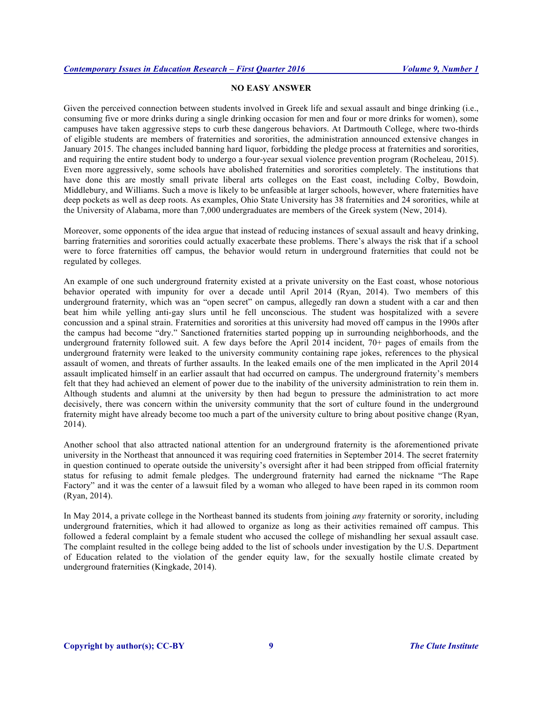# **NO EASY ANSWER**

Given the perceived connection between students involved in Greek life and sexual assault and binge drinking (i.e., consuming five or more drinks during a single drinking occasion for men and four or more drinks for women), some campuses have taken aggressive steps to curb these dangerous behaviors. At Dartmouth College, where two-thirds of eligible students are members of fraternities and sororities, the administration announced extensive changes in January 2015. The changes included banning hard liquor, forbidding the pledge process at fraternities and sororities, and requiring the entire student body to undergo a four-year sexual violence prevention program (Rocheleau, 2015). Even more aggressively, some schools have abolished fraternities and sororities completely. The institutions that have done this are mostly small private liberal arts colleges on the East coast, including Colby, Bowdoin, Middlebury, and Williams. Such a move is likely to be unfeasible at larger schools, however, where fraternities have deep pockets as well as deep roots. As examples, Ohio State University has 38 fraternities and 24 sororities, while at the University of Alabama, more than 7,000 undergraduates are members of the Greek system (New, 2014).

Moreover, some opponents of the idea argue that instead of reducing instances of sexual assault and heavy drinking, barring fraternities and sororities could actually exacerbate these problems. There's always the risk that if a school were to force fraternities off campus, the behavior would return in underground fraternities that could not be regulated by colleges.

An example of one such underground fraternity existed at a private university on the East coast, whose notorious behavior operated with impunity for over a decade until April 2014 (Ryan, 2014). Two members of this underground fraternity, which was an "open secret" on campus, allegedly ran down a student with a car and then beat him while yelling anti-gay slurs until he fell unconscious. The student was hospitalized with a severe concussion and a spinal strain. Fraternities and sororities at this university had moved off campus in the 1990s after the campus had become "dry." Sanctioned fraternities started popping up in surrounding neighborhoods, and the underground fraternity followed suit. A few days before the April 2014 incident, 70+ pages of emails from the underground fraternity were leaked to the university community containing rape jokes, references to the physical assault of women, and threats of further assaults. In the leaked emails one of the men implicated in the April 2014 assault implicated himself in an earlier assault that had occurred on campus. The underground fraternity's members felt that they had achieved an element of power due to the inability of the university administration to rein them in. Although students and alumni at the university by then had begun to pressure the administration to act more decisively, there was concern within the university community that the sort of culture found in the underground fraternity might have already become too much a part of the university culture to bring about positive change (Ryan, 2014).

Another school that also attracted national attention for an underground fraternity is the aforementioned private university in the Northeast that announced it was requiring coed fraternities in September 2014. The secret fraternity in question continued to operate outside the university's oversight after it had been stripped from official fraternity status for refusing to admit female pledges. The underground fraternity had earned the nickname "The Rape Factory" and it was the center of a lawsuit filed by a woman who alleged to have been raped in its common room (Ryan, 2014).

In May 2014, a private college in the Northeast banned its students from joining *any* fraternity or sorority, including underground fraternities, which it had allowed to organize as long as their activities remained off campus. This followed a federal complaint by a female student who accused the college of mishandling her sexual assault case. The complaint resulted in the college being added to the list of schools under investigation by the U.S. Department of Education related to the violation of the gender equity law, for the sexually hostile climate created by underground fraternities (Kingkade, 2014).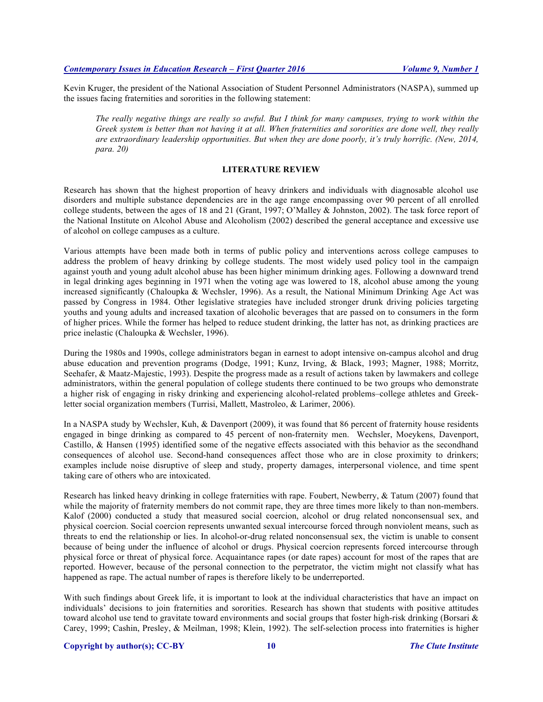Kevin Kruger, the president of the National Association of Student Personnel Administrators (NASPA), summed up the issues facing fraternities and sororities in the following statement:

*The really negative things are really so awful. But I think for many campuses, trying to work within the Greek system is better than not having it at all. When fraternities and sororities are done well, they really are extraordinary leadership opportunities. But when they are done poorly, it's truly horrific. (New, 2014, para. 20)* 

# **LITERATURE REVIEW**

Research has shown that the highest proportion of heavy drinkers and individuals with diagnosable alcohol use disorders and multiple substance dependencies are in the age range encompassing over 90 percent of all enrolled college students, between the ages of 18 and 21 (Grant, 1997; O'Malley & Johnston, 2002). The task force report of the National Institute on Alcohol Abuse and Alcoholism (2002) described the general acceptance and excessive use of alcohol on college campuses as a culture.

Various attempts have been made both in terms of public policy and interventions across college campuses to address the problem of heavy drinking by college students. The most widely used policy tool in the campaign against youth and young adult alcohol abuse has been higher minimum drinking ages. Following a downward trend in legal drinking ages beginning in 1971 when the voting age was lowered to 18, alcohol abuse among the young increased significantly (Chaloupka & Wechsler, 1996). As a result, the National Minimum Drinking Age Act was passed by Congress in 1984. Other legislative strategies have included stronger drunk driving policies targeting youths and young adults and increased taxation of alcoholic beverages that are passed on to consumers in the form of higher prices. While the former has helped to reduce student drinking, the latter has not, as drinking practices are price inelastic (Chaloupka & Wechsler, 1996).

During the 1980s and 1990s, college administrators began in earnest to adopt intensive on-campus alcohol and drug abuse education and prevention programs (Dodge, 1991; Kunz, Irving, & Black, 1993; Magner, 1988; Morritz, Seehafer, & Maatz-Majestic, 1993). Despite the progress made as a result of actions taken by lawmakers and college administrators, within the general population of college students there continued to be two groups who demonstrate a higher risk of engaging in risky drinking and experiencing alcohol-related problems–college athletes and Greekletter social organization members (Turrisi, Mallett, Mastroleo, & Larimer, 2006).

In a NASPA study by Wechsler, Kuh, & Davenport (2009), it was found that 86 percent of fraternity house residents engaged in binge drinking as compared to 45 percent of non-fraternity men. Wechsler, Moeykens, Davenport, Castillo, & Hansen (1995) identified some of the negative effects associated with this behavior as the secondhand consequences of alcohol use. Second-hand consequences affect those who are in close proximity to drinkers; examples include noise disruptive of sleep and study, property damages, interpersonal violence, and time spent taking care of others who are intoxicated.

Research has linked heavy drinking in college fraternities with rape. Foubert, Newberry, & Tatum (2007) found that while the majority of fraternity members do not commit rape, they are three times more likely to than non-members. Kalof (2000) conducted a study that measured social coercion, alcohol or drug related nonconsensual sex, and physical coercion. Social coercion represents unwanted sexual intercourse forced through nonviolent means, such as threats to end the relationship or lies. In alcohol-or-drug related nonconsensual sex, the victim is unable to consent because of being under the influence of alcohol or drugs. Physical coercion represents forced intercourse through physical force or threat of physical force. Acquaintance rapes (or date rapes) account for most of the rapes that are reported. However, because of the personal connection to the perpetrator, the victim might not classify what has happened as rape. The actual number of rapes is therefore likely to be underreported.

With such findings about Greek life, it is important to look at the individual characteristics that have an impact on individuals' decisions to join fraternities and sororities. Research has shown that students with positive attitudes toward alcohol use tend to gravitate toward environments and social groups that foster high-risk drinking (Borsari & Carey, 1999; Cashin, Presley, & Meilman, 1998; Klein, 1992). The self-selection process into fraternities is higher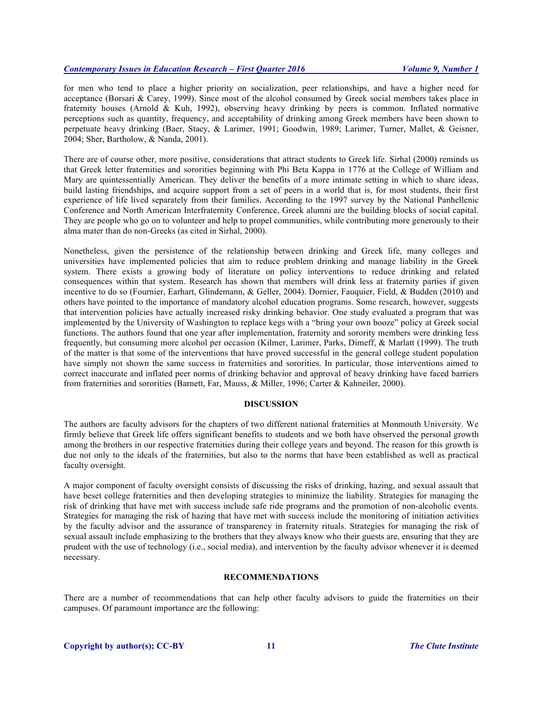for men who tend to place a higher priority on socialization, peer relationships, and have a higher need for acceptance (Borsari & Carey, 1999). Since most of the alcohol consumed by Greek social members takes place in fraternity houses (Arnold & Kuh, 1992), observing heavy drinking by peers is common. Inflated normative perceptions such as quantity, frequency, and acceptability of drinking among Greek members have been shown to perpetuate heavy drinking (Baer, Stacy, & Larimer, 1991; Goodwin, 1989; Larimer, Turner, Mallet, & Geisner, 2004; Sher, Bartholow, & Nanda, 2001).

There are of course other, more positive, considerations that attract students to Greek life. Sirhal (2000) reminds us that Greek letter fraternities and sororities beginning with Phi Beta Kappa in 1776 at the College of William and Mary are quintessentially American. They deliver the benefits of a more intimate setting in which to share ideas, build lasting friendships, and acquire support from a set of peers in a world that is, for most students, their first experience of life lived separately from their families. According to the 1997 survey by the National Panhellenic Conference and North American Interfraternity Conference, Greek alumni are the building blocks of social capital. They are people who go on to volunteer and help to propel communities, while contributing more generously to their alma mater than do non-Greeks (as cited in Sirhal, 2000).

Nonetheless, given the persistence of the relationship between drinking and Greek life, many colleges and universities have implemented policies that aim to reduce problem drinking and manage liability in the Greek system. There exists a growing body of literature on policy interventions to reduce drinking and related consequences within that system. Research has shown that members will drink less at fraternity parties if given incentive to do so (Fournier, Earhart, Glindemann, & Geller, 2004). Dornier, Fauquier, Field, & Budden (2010) and others have pointed to the importance of mandatory alcohol education programs. Some research, however, suggests that intervention policies have actually increased risky drinking behavior. One study evaluated a program that was implemented by the University of Washington to replace kegs with a "bring your own booze" policy at Greek social functions. The authors found that one year after implementation, fraternity and sorority members were drinking less frequently, but consuming more alcohol per occasion (Kilmer, Larimer, Parks, Dimeff, & Marlatt (1999). The truth of the matter is that some of the interventions that have proved successful in the general college student population have simply not shown the same success in fraternities and sororities. In particular, those interventions aimed to correct inaccurate and inflated peer norms of drinking behavior and approval of heavy drinking have faced barriers from fraternities and sororities (Barnett, Far, Mauss, & Miller, 1996; Carter & Kahneiler, 2000).

# **DISCUSSION**

The authors are faculty advisors for the chapters of two different national fraternities at Monmouth University. We firmly believe that Greek life offers significant benefits to students and we both have observed the personal growth among the brothers in our respective fraternities during their college years and beyond. The reason for this growth is due not only to the ideals of the fraternities, but also to the norms that have been established as well as practical faculty oversight.

A major component of faculty oversight consists of discussing the risks of drinking, hazing, and sexual assault that have beset college fraternities and then developing strategies to minimize the liability. Strategies for managing the risk of drinking that have met with success include safe ride programs and the promotion of non-alcoholic events. Strategies for managing the risk of hazing that have met with success include the monitoring of initiation activities by the faculty advisor and the assurance of transparency in fraternity rituals. Strategies for managing the risk of sexual assault include emphasizing to the brothers that they always know who their guests are, ensuring that they are prudent with the use of technology (i.e., social media), and intervention by the faculty advisor whenever it is deemed necessary.

#### **RECOMMENDATIONS**

There are a number of recommendations that can help other faculty advisors to guide the fraternities on their campuses. Of paramount importance are the following: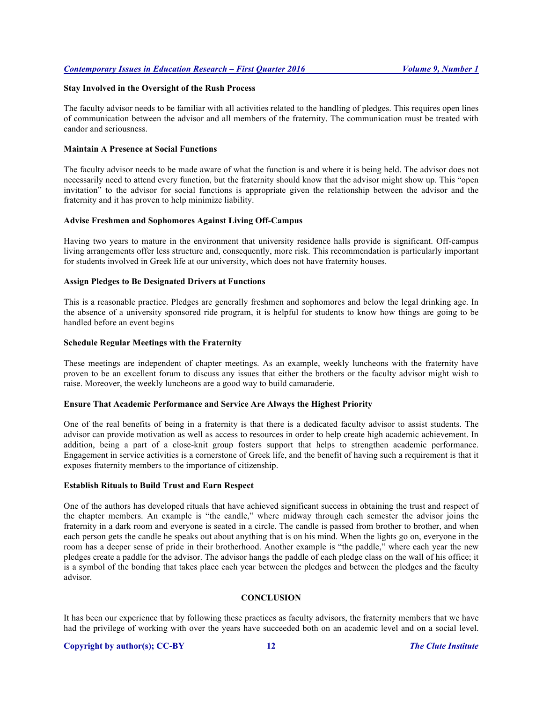#### **Stay Involved in the Oversight of the Rush Process**

The faculty advisor needs to be familiar with all activities related to the handling of pledges. This requires open lines of communication between the advisor and all members of the fraternity. The communication must be treated with candor and seriousness.

#### **Maintain A Presence at Social Functions**

The faculty advisor needs to be made aware of what the function is and where it is being held. The advisor does not necessarily need to attend every function, but the fraternity should know that the advisor might show up. This "open invitation" to the advisor for social functions is appropriate given the relationship between the advisor and the fraternity and it has proven to help minimize liability.

# **Advise Freshmen and Sophomores Against Living Off-Campus**

Having two years to mature in the environment that university residence halls provide is significant. Off-campus living arrangements offer less structure and, consequently, more risk. This recommendation is particularly important for students involved in Greek life at our university, which does not have fraternity houses.

#### **Assign Pledges to Be Designated Drivers at Functions**

This is a reasonable practice. Pledges are generally freshmen and sophomores and below the legal drinking age. In the absence of a university sponsored ride program, it is helpful for students to know how things are going to be handled before an event begins

#### **Schedule Regular Meetings with the Fraternity**

These meetings are independent of chapter meetings. As an example, weekly luncheons with the fraternity have proven to be an excellent forum to discuss any issues that either the brothers or the faculty advisor might wish to raise. Moreover, the weekly luncheons are a good way to build camaraderie.

# **Ensure That Academic Performance and Service Are Always the Highest Priority**

One of the real benefits of being in a fraternity is that there is a dedicated faculty advisor to assist students. The advisor can provide motivation as well as access to resources in order to help create high academic achievement. In addition, being a part of a close-knit group fosters support that helps to strengthen academic performance. Engagement in service activities is a cornerstone of Greek life, and the benefit of having such a requirement is that it exposes fraternity members to the importance of citizenship.

# **Establish Rituals to Build Trust and Earn Respect**

One of the authors has developed rituals that have achieved significant success in obtaining the trust and respect of the chapter members. An example is "the candle," where midway through each semester the advisor joins the fraternity in a dark room and everyone is seated in a circle. The candle is passed from brother to brother, and when each person gets the candle he speaks out about anything that is on his mind. When the lights go on, everyone in the room has a deeper sense of pride in their brotherhood. Another example is "the paddle," where each year the new pledges create a paddle for the advisor. The advisor hangs the paddle of each pledge class on the wall of his office; it is a symbol of the bonding that takes place each year between the pledges and between the pledges and the faculty advisor.

# **CONCLUSION**

It has been our experience that by following these practices as faculty advisors, the fraternity members that we have had the privilege of working with over the years have succeeded both on an academic level and on a social level.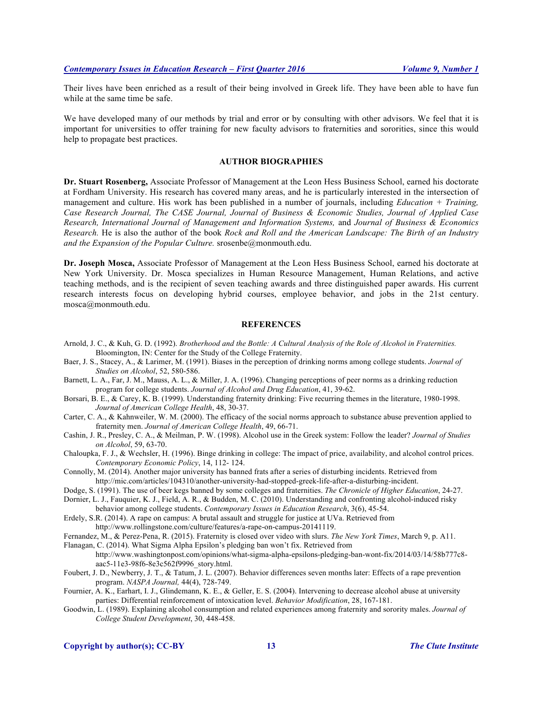Their lives have been enriched as a result of their being involved in Greek life. They have been able to have fun while at the same time be safe.

We have developed many of our methods by trial and error or by consulting with other advisors. We feel that it is important for universities to offer training for new faculty advisors to fraternities and sororities, since this would help to propagate best practices.

#### **AUTHOR BIOGRAPHIES**

**Dr. Stuart Rosenberg,** Associate Professor of Management at the Leon Hess Business School, earned his doctorate at Fordham University. His research has covered many areas, and he is particularly interested in the intersection of management and culture. His work has been published in a number of journals, including *Education + Training, Case Research Journal, The CASE Journal, Journal of Business & Economic Studies, Journal of Applied Case Research, International Journal of Management and Information Systems,* and *Journal of Business & Economics Research.* He is also the author of the book *Rock and Roll and the American Landscape: The Birth of an Industry and the Expansion of the Popular Culture.* srosenbe@monmouth.edu.

**Dr. Joseph Mosca,** Associate Professor of Management at the Leon Hess Business School, earned his doctorate at New York University. Dr. Mosca specializes in Human Resource Management, Human Relations, and active teaching methods, and is the recipient of seven teaching awards and three distinguished paper awards. His current research interests focus on developing hybrid courses, employee behavior, and jobs in the 21st century. mosca@monmouth.edu.

#### **REFERENCES**

- Arnold, J. C., & Kuh, G. D. (1992). *Brotherhood and the Bottle: A Cultural Analysis of the Role of Alcohol in Fraternities.* Bloomington, IN: Center for the Study of the College Fraternity.
- Baer, J. S., Stacey, A., & Larimer, M. (1991). Biases in the perception of drinking norms among college students. *Journal of Studies on Alcohol*, 52, 580-586.
- Barnett, L. A., Far, J. M., Mauss, A. L., & Miller, J. A. (1996). Changing perceptions of peer norms as a drinking reduction program for college students. *Journal of Alcohol and Drug Education*, 41, 39-62.
- Borsari, B. E., & Carey, K. B. (1999). Understanding fraternity drinking: Five recurring themes in the literature, 1980-1998. *Journal of American College Health*, 48, 30-37.
- Carter, C. A., & Kahnweiler, W. M. (2000). The efficacy of the social norms approach to substance abuse prevention applied to fraternity men. *Journal of American College Health*, 49, 66-71.
- Cashin, J. R., Presley, C. A., & Meilman, P. W. (1998). Alcohol use in the Greek system: Follow the leader? *Journal of Studies on Alcohol*, 59, 63-70.
- Chaloupka, F. J., & Wechsler, H. (1996). Binge drinking in college: The impact of price, availability, and alcohol control prices. *Contemporary Economic Policy*, 14, 112- 124.
- Connolly, M. (2014). Another major university has banned frats after a series of disturbing incidents. Retrieved from http://mic.com/articles/104310/another-university-had-stopped-greek-life-after-a-disturbing-incident.
- Dodge, S. (1991). The use of beer kegs banned by some colleges and fraternities. *The Chronicle of Higher Education*, 24-27.
- Dornier, L. J., Fauquier, K. J., Field, A. R., & Budden, M. C. (2010). Understanding and confronting alcohol-induced risky behavior among college students. *Contemporary Issues in Education Research*, 3(6), 45-54.
- Erdely, S.R. (2014). A rape on campus: A brutal assault and struggle for justice at UVa. Retrieved from http://www.rollingstone.com/culture/features/a-rape-on-campus-20141119.

Fernandez, M., & Perez-Pena, R. (2015). Fraternity is closed over video with slurs. *The New York Times*, March 9, p. A11.

Flanagan, C. (2014). What Sigma Alpha Epsilon's pledging ban won't fix. Retrieved from

http://www.washingtonpost.com/opinions/what-sigma-alpha-epsilons-pledging-ban-wont-fix/2014/03/14/58b777c8 aac5-11e3-98f6-8e3c562f9996\_story.html.

- Foubert, J. D., Newberry, J. T., & Tatum, J. L. (2007). Behavior differences seven months later: Effects of a rape prevention program. *NASPA Journal,* 44(4), 728-749.
- Fournier, A. K., Earhart, I. J., Glindemann, K. E., & Geller, E. S. (2004). Intervening to decrease alcohol abuse at university parties: Differential reinforcement of intoxication level. *Behavior Modification*, 28, 167-181.
- Goodwin, L. (1989). Explaining alcohol consumption and related experiences among fraternity and sorority males. *Journal of College Student Development*, 30, 448-458.